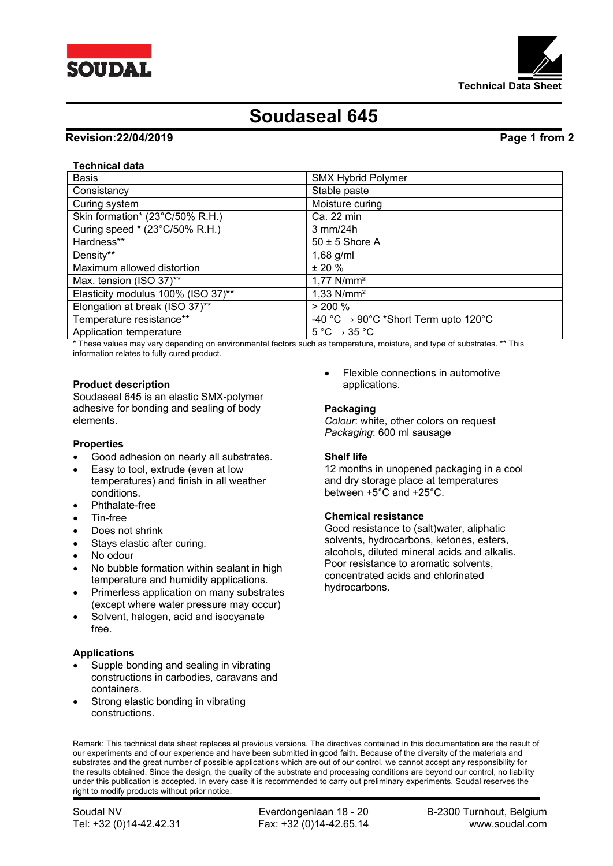



# **Soudaseal 645**

# **Revision:22/04/2019 Page 1 from 2**

# **Technical data**

| <b>Basis</b>                       | <b>SMX Hybrid Polymer</b>                        |
|------------------------------------|--------------------------------------------------|
| Consistancy                        | Stable paste                                     |
| Curing system                      | Moisture curing                                  |
| Skin formation* (23°C/50% R.H.)    | Ca. 22 min                                       |
| Curing speed * (23°C/50% R.H.)     | $3$ mm/24h                                       |
| Hardness**                         | $50 \pm 5$ Shore A                               |
| Density**                          | $1,68$ g/ml                                      |
| Maximum allowed distortion         | $± 20 \%$                                        |
| Max. tension (ISO 37)**            | $1,77$ N/mm <sup>2</sup>                         |
| Elasticity modulus 100% (ISO 37)** | $1,33$ N/mm <sup>2</sup>                         |
| Elongation at break (ISO 37)**     | $> 200 \%$                                       |
| Temperature resistance**           | -40 °C $\rightarrow$ 90°C *Short Term upto 120°C |
| Application temperature            | $5^{\circ}$ C $\rightarrow$ 35 $^{\circ}$ C      |

\* These values may vary depending on environmental factors such as temperature, moisture, and type of substrates. \*\* This information relates to fully cured product.

# **Product description**

Soudaseal 645 is an elastic SMX-polymer adhesive for bonding and sealing of body elements.

# **Properties**

- Good adhesion on nearly all substrates.
- Easy to tool, extrude (even at low temperatures) and finish in all weather conditions.
- Phthalate-free
- Tin-free
- Does not shrink
- Stays elastic after curing.
- No odour
- No bubble formation within sealant in high temperature and humidity applications.
- Primerless application on many substrates (except where water pressure may occur)
- Solvent, halogen, acid and isocyanate free.

# **Applications**

- Supple bonding and sealing in vibrating constructions in carbodies, caravans and containers.
- Strong elastic bonding in vibrating constructions.

 Flexible connections in automotive applications.

#### **Packaging**

*Colour*: white, other colors on request *Packaging*: 600 ml sausage

# **Shelf life**

12 months in unopened packaging in a cool and dry storage place at temperatures between +5°C and +25°C.

#### **Chemical resistance**

Good resistance to (salt)water, aliphatic solvents, hydrocarbons, ketones, esters, alcohols, diluted mineral acids and alkalis. Poor resistance to aromatic solvents, concentrated acids and chlorinated hydrocarbons.

Remark: This technical data sheet replaces al previous versions. The directives contained in this documentation are the result of our experiments and of our experience and have been submitted in good faith. Because of the diversity of the materials and substrates and the great number of possible applications which are out of our control, we cannot accept any responsibility for the results obtained. Since the design, the quality of the substrate and processing conditions are beyond our control, no liability under this publication is accepted. In every case it is recommended to carry out preliminary experiments. Soudal reserves the right to modify products without prior notice.